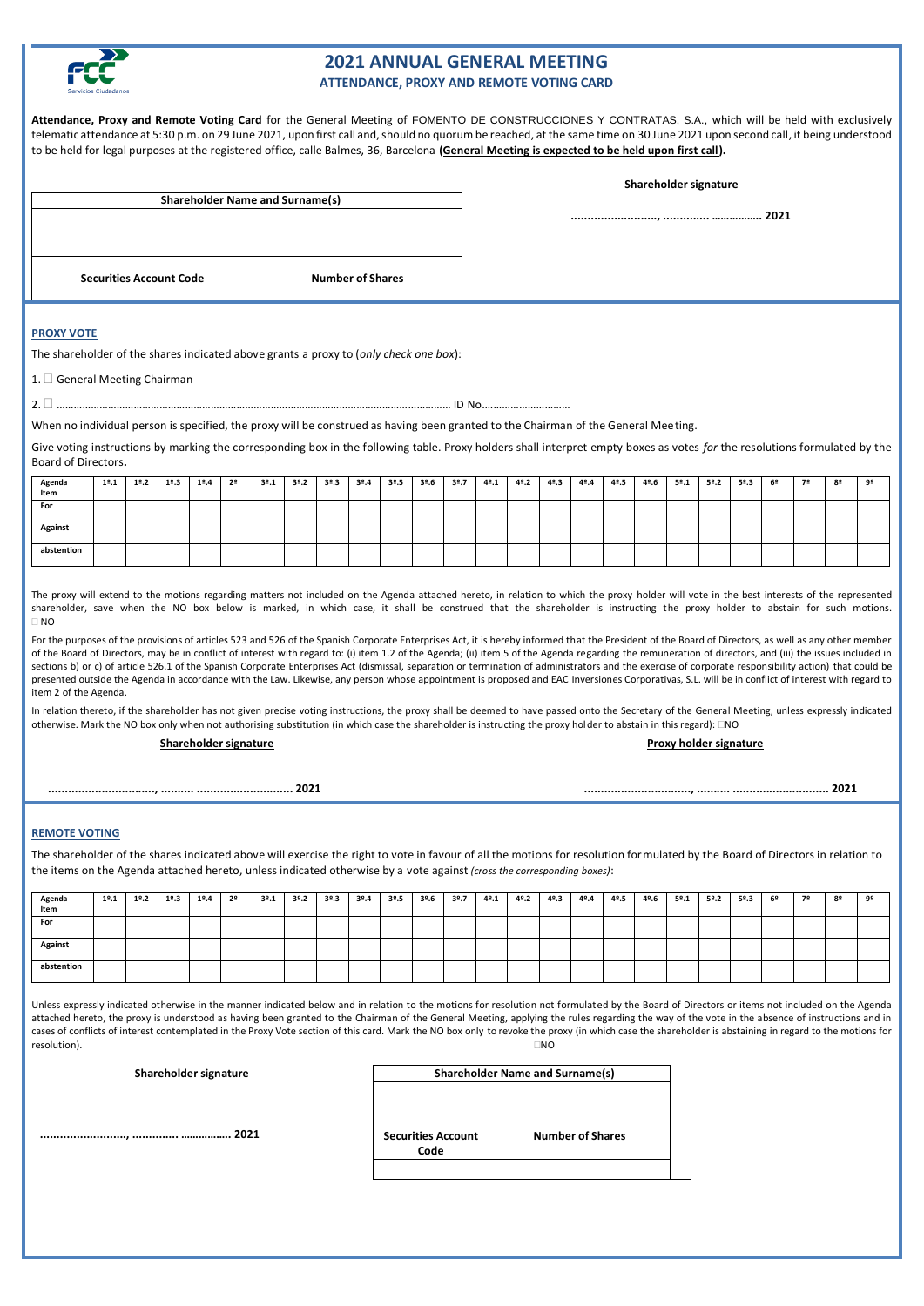

# **2021 ANNUAL GENERAL MEETING ATTENDANCE, PROXY AND REMOTE VOTING CARD**

**Attendance, Proxy and Remote Voting Card** for the General Meeting of FOMENTO DE CONSTRUCCIONES Y CONTRATAS, S.A., which will be held with exclusively telematic attendance at 5:30 p.m. on 29 June 2021, upon first call and, should no quorum be reached, at the same time on 30 June 2021 upon second call, it being understood to be held for legal purposes at the registered office, calle Balmes, 36, Barcelona **(General Meeting is expected to be held upon first call).**

| <b>Shareholder Name and Surname(s)</b> |                         |  |  |  |  |  |  |
|----------------------------------------|-------------------------|--|--|--|--|--|--|
|                                        |                         |  |  |  |  |  |  |
|                                        |                         |  |  |  |  |  |  |
|                                        |                         |  |  |  |  |  |  |
|                                        |                         |  |  |  |  |  |  |
| <b>Securities Account Code</b>         | <b>Number of Shares</b> |  |  |  |  |  |  |
|                                        |                         |  |  |  |  |  |  |

**Shareholder signature** 

**.........................., .............. …………….. 2021**

## **PROXY VOTE**

The shareholder of the shares indicated above grants a proxy to (*only check one box*):

1. **General Meeting Chairman** 

2. ………………………………………………………………………………………………………………………… ID No.…………………………

When no individual person is specified, the proxy will be construed as having been granted to the Chairman of the General Meeting.

Give voting instructions by marking the corresponding box in the following table. Proxy holders shall interpret empty boxes as votes *for* the resolutions formulated by the Board of Directors**.**

| Agenda<br>Item | 19.1 | 19.2 | 19.3 | 19.4 | 2º | 39.1 | 39.2 | 39.3 | 39.4 | 39.5 | 3°.6 | 39.7 | 4º.1 | 4º.2 | 4º.3 | 4º.4 | 4º.5 | 4º.6 | 5º.1 | 5º.2 | 5º.3 | 6º | 7º | 82 | 92 |
|----------------|------|------|------|------|----|------|------|------|------|------|------|------|------|------|------|------|------|------|------|------|------|----|----|----|----|
| For            |      |      |      |      |    |      |      |      |      |      |      |      |      |      |      |      |      |      |      |      |      |    |    |    |    |
| <b>Against</b> |      |      |      |      |    |      |      |      |      |      |      |      |      |      |      |      |      |      |      |      |      |    |    |    |    |
| abstention     |      |      |      |      |    |      |      |      |      |      |      |      |      |      |      |      |      |      |      |      |      |    |    |    |    |

The proxy will extend to the motions regarding matters not included on the Agenda attached hereto, in relation to which the proxy holder will vote in the best interests of the represented shareholder, save when the NO box below is marked, in which case, it shall be construed that the shareholder is instructing the proxy holder to abstain for such motions.  $\Box$  NO

For the purposes of the provisions of articles 523 and 526 of the Spanish Corporate Enterprises Act, it is hereby informed that the President of the Board of Directors, as well as any other member of the Board of Directors, may be in conflict of interest with regard to: (i) item 1.2 of the Agenda; (ii) item 5 of the Agenda regarding the remuneration of directors, and (iii) the issues included in sections b) or c) of article 526.1 of the Spanish Corporate Enterprises Act (dismissal, separation or termination of administrators and the exercise of corporate responsibility action) that could be presented outside the Agenda in accordance with the Law. Likewise, any person whose appointment is proposed and EAC Inversiones Corporativas, S.L. will be in conflict of interest with regard to item 2 of the Agenda.

In relation thereto, if the shareholder has not given precise voting instructions, the proxy shall be deemed to have passed onto the Secretary of the General Meeting, unless expressly indicated otherwise. Mark the NO box only when not authorising substitution (in which case the shareholder is instructing the proxy holder to abstain in this regard):  $\Box$ NO

### **Shareholder signature Proxy holder signature**

 **................................, .......... ............................. 2021 ................................, .......... ............................. 2021**

### **REMOTE VOTING**

**.........................., .............. …………….. 2021**

The shareholder of the shares indicated above will exercise the right to vote in favour of all the motions for resolution formulated by the Board of Directors in relation to the items on the Agenda attached hereto, unless indicated otherwise by a vote against *(cross the corresponding boxes)*:

| Agenda<br>Item | 19.1 | 19.2 | 19.3 | 19.4 | 2º | 39.1 | 39.2 | 39.3 | 39.4 | 39.5 | 3°.6 | 39.7 | 4º.1 | 4º.2 | 4º.3 | 4º.4 | 4º.5 | 4º.6 | 5º.1 | 5º.2 | 5º.3 | 6º | 72 | 82 | 92 |
|----------------|------|------|------|------|----|------|------|------|------|------|------|------|------|------|------|------|------|------|------|------|------|----|----|----|----|
| For            |      |      |      |      |    |      |      |      |      |      |      |      |      |      |      |      |      |      |      |      |      |    |    |    |    |
| Against        |      |      |      |      |    |      |      |      |      |      |      |      |      |      |      |      |      |      |      |      |      |    |    |    |    |
| abstention     |      |      |      |      |    |      |      |      |      |      |      |      |      |      |      |      |      |      |      |      |      |    |    |    |    |

Unless expressly indicated otherwise in the manner indicated below and in relation to the motions for resolution not formulated by the Board of Directors or items not included on the Agenda attached hereto, the proxy is understood as having been granted to the Chairman of the General Meeting, applying the rules regarding the way of the vote in the absence of instructions and in cases of conflicts of interest contemplated in the Proxy Vote section of this card. Mark the NO box only to revoke the proxy (in which case the shareholder is abstaining in regard to the motions for  $r$ esolution). Notae aastas aastas aastas aastas aastas aastas aastas aastas aastas aastas aastas aastas aastas a

| Shareholder signature | <b>Shareholder Name and Surname(s)</b> |                         |  |  |  |  |  |  |
|-----------------------|----------------------------------------|-------------------------|--|--|--|--|--|--|
| 2021                  | <b>Securities Account</b><br>Code      | <b>Number of Shares</b> |  |  |  |  |  |  |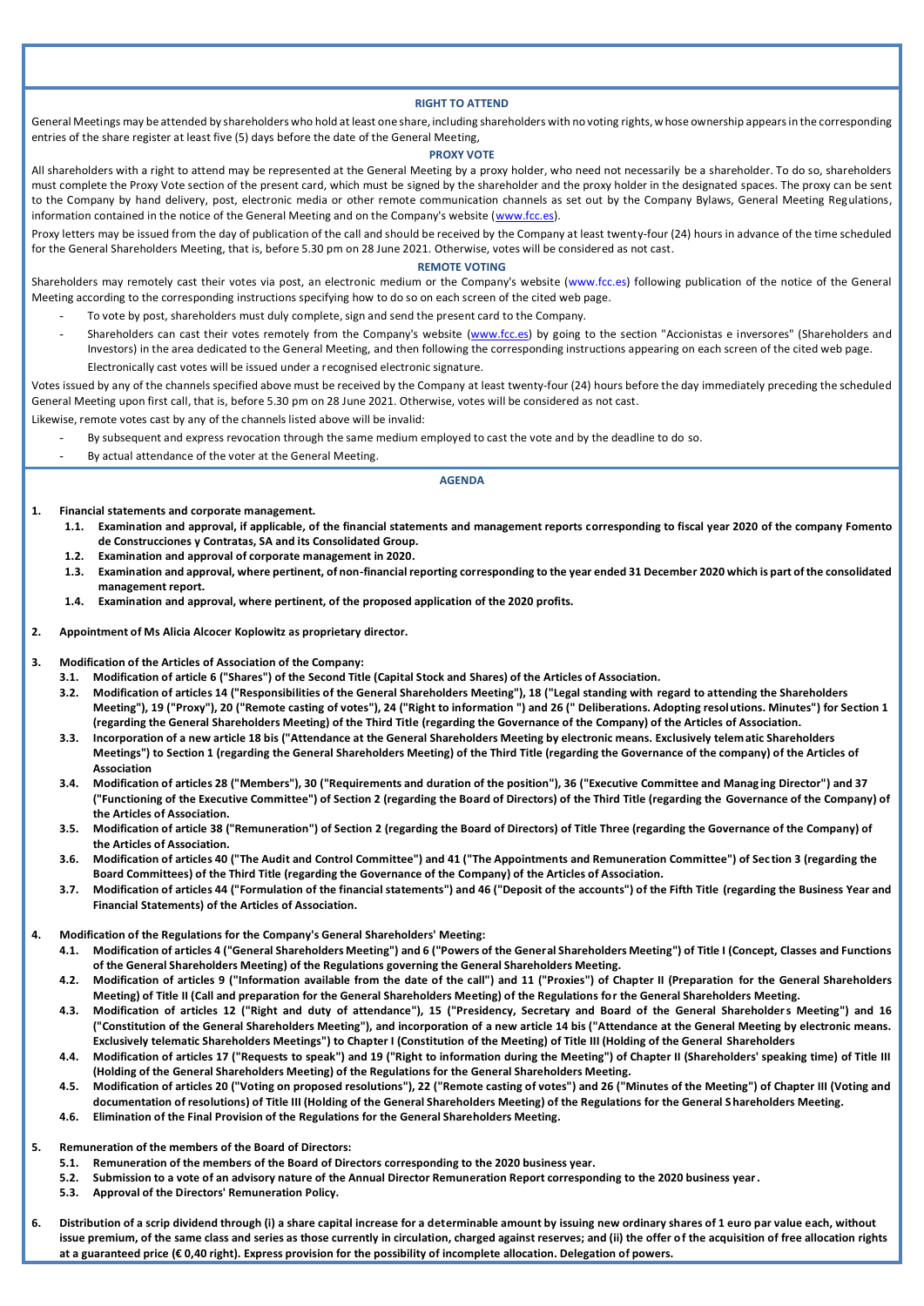### **RIGHT TO ATTEND**

General Meetings may be attended by shareholders who hold at least one share, including shareholders with no voting rights, whose ownership appears in the corresponding entries of the share register at least five (5) days before the date of the General Meeting,

#### **PROXY VOTE**

All shareholders with a right to attend may be represented at the General Meeting by a proxy holder, who need not necessarily be a shareholder. To do so, shareholders must complete the Proxy Vote section of the present card, which must be signed by the shareholder and the proxy holder in the designated spaces. The proxy can be sent to the Company by hand delivery, post, electronic media or other remote communication channels as set out by the Company Bylaws, General Meeting Regulations, information contained in the notice of the General Meeting and on the Company's website [\(www.fcc.es\)](http://www.fcc.es/).

Proxy letters may be issued from the day of publication of the call and should be received by the Company at least twenty-four (24) hours in advance of the time scheduled for the General Shareholders Meeting, that is, before 5.30 pm on 28 June 2021. Otherwise, votes will be considered as not cast.

#### **REMOTE VOTING**

Shareholders may remotely cast their votes via post, an electronic medium or the Company's website (www.fcc.es) following publication of the notice of the General Meeting according to the corresponding instructions specifying how to do so on each screen of the cited web page.

- To vote by post, shareholders must duly complete, sign and send the present card to the Company.
- Shareholders can cast their votes remotely from the Company's website [\(www.fcc.es\)](http://www.fcc.es/) by going to the section "Accionistas e inversores" (Shareholders and Investors) in the area dedicated to the General Meeting, and then following the corresponding instructions appearing on each screen of the cited web page. Electronically cast votes will be issued under a recognised electronic signature.

Votes issued by any of the channels specified above must be received by the Company at least twenty-four (24) hours before the day immediately preceding the scheduled General Meeting upon first call, that is, before 5.30 pm on 28 June 2021. Otherwise, votes will be considered as not cast.

Likewise, remote votes cast by any of the channels listed above will be invalid:

- By subsequent and express revocation through the same medium employed to cast the vote and by the deadline to do so.
- By actual attendance of the voter at the General Meeting.

### **AGENDA**

**1. Financial statements and corporate management.**

- **1.1. Examination and approval, if applicable, of the financial statements and management reports corresponding to fiscal year 2020 of the company Fomento de Construcciones y Contratas, SA and its Consolidated Group.**
- **1.2. Examination and approval of corporate management in 2020.**
- **1.3. Examination and approval, where pertinent, of non-financial reporting corresponding to the year ended 31 December 2020 which is part of the consolidated management report.**
- **1.4. Examination and approval, where pertinent, of the proposed application of the 2020 profits.**
- **2. Appointment of Ms Alicia Alcocer Koplowitz as proprietary director.**
- **3. Modification of the Articles of Association of the Company:**
	- **3.1. Modification of article 6 ("Shares") of the Second Title (Capital Stock and Shares) of the Articles of Association.**
	- **3.2. Modification of articles 14 ("Responsibilities of the General Shareholders Meeting"), 18 ("Legal standing with regard to attending the Shareholders Meeting"), 19 ("Proxy"), 20 ("Remote casting of votes"), 24 ("Right to information ") and 26 (" Deliberations. Adopting resolutions. Minutes") for Section 1 (regarding the General Shareholders Meeting) of the Third Title (regarding the Governance of the Company) of the Articles of Association.**
	- **3.3. Incorporation of a new article 18 bis ("Attendance at the General Shareholders Meeting by electronic means. Exclusively telematic Shareholders Meetings") to Section 1 (regarding the General Shareholders Meeting) of the Third Title (regarding the Governance of the company) of the Articles of Association**
	- **3.4. Modification of articles 28 ("Members"), 30 ("Requirements and duration of the position"), 36 ("Executive Committee and Manag ing Director") and 37 ("Functioning of the Executive Committee") of Section 2 (regarding the Board of Directors) of the Third Title (regarding the Governance of the Company) of the Articles of Association.**
	- **3.5. Modification of article 38 ("Remuneration") of Section 2 (regarding the Board of Directors) of Title Three (regarding the Governance of the Company) of the Articles of Association.**
	- **3.6. Modification of articles 40 ("The Audit and Control Committee") and 41 ("The Appointments and Remuneration Committee") of Sec tion 3 (regarding the Board Committees) of the Third Title (regarding the Governance of the Company) of the Articles of Association.**
	- **3.7. Modification of articles 44 ("Formulation of the financial statements") and 46 ("Deposit of the accounts") of the Fifth Title (regarding the Business Year and Financial Statements) of the Articles of Association.**
- **4. Modification of the Regulations for the Company's General Shareholders' Meeting:**
	- **4.1. Modification of articles 4 ("General Shareholders Meeting") and 6 ("Powers of the General Shareholders Meeting") of Title I (Concept, Classes and Functions of the General Shareholders Meeting) of the Regulations governing the General Shareholders Meeting.**
	- **4.2. Modification of articles 9 ("Information available from the date of the call") and 11 ("Proxies") of Chapter II (Preparation for the General Shareholders Meeting) of Title II (Call and preparation for the General Shareholders Meeting) of the Regulations for the General Shareholders Meeting.**
	- **4.3. Modification of articles 12 ("Right and duty of attendance"), 15 ("Presidency, Secretary and Board of the General Shareholders Meeting") and 16 ("Constitution of the General Shareholders Meeting"), and incorporation of a new article 14 bis ("Attendance at the General Meeting by electronic means. Exclusively telematic Shareholders Meetings") to Chapter I (Constitution of the Meeting) of Title III (Holding of the General Shareholders**
	- **4.4. Modification of articles 17 ("Requests to speak") and 19 ("Right to information during the Meeting") of Chapter II (Shareholders' speaking time) of Title III (Holding of the General Shareholders Meeting) of the Regulations for the General Shareholders Meeting.**
	- **4.5. Modification of articles 20 ("Voting on proposed resolutions"), 22 ("Remote casting of votes") and 26 ("Minutes of the Meeting") of Chapter III (Voting and documentation of resolutions) of Title III (Holding of the General Shareholders Meeting) of the Regulations for the General Shareholders Meeting.**
	- **4.6. Elimination of the Final Provision of the Regulations for the General Shareholders Meeting.**
- **5. Remuneration of the members of the Board of Directors:**
	- **5.1. Remuneration of the members of the Board of Directors corresponding to the 2020 business year.**
	- **5.2. Submission to a vote of an advisory nature of the Annual Director Remuneration Report corresponding to the 2020 business year.**
	- **5.3. Approval of the Directors' Remuneration Policy.**
- **6. Distribution of a scrip dividend through (i) a share capital increase for a determinable amount by issuing new ordinary shares of 1 euro par value each, without issue premium, of the same class and series as those currently in circulation, charged against reserves; and (ii) the offer of the acquisition of free allocation rights at a guaranteed price (€ 0,40 right). Express provision for the possibility of incomplete allocation. Delegation of powers.**